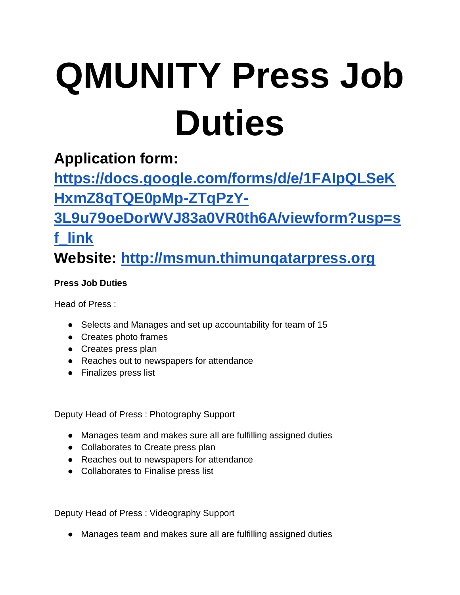## **QMUNITY Press Job Duties**

## **Application form:**

**[https://docs.google.com/forms/d/e/1FAIpQLSeK](https://docs.google.com/forms/d/e/1FAIpQLSeKHxmZ8qTQE0pMp-ZTqPzY-3L9u79oeDorWVJ83a0VR0th6A/viewform?usp=sf_link) [HxmZ8qTQE0pMp-ZTqPzY-](https://docs.google.com/forms/d/e/1FAIpQLSeKHxmZ8qTQE0pMp-ZTqPzY-3L9u79oeDorWVJ83a0VR0th6A/viewform?usp=sf_link)**

**[3L9u79oeDorWVJ83a0VR0th6A/viewform?usp=s](https://docs.google.com/forms/d/e/1FAIpQLSeKHxmZ8qTQE0pMp-ZTqPzY-3L9u79oeDorWVJ83a0VR0th6A/viewform?usp=sf_link)**

## **[f\\_link](https://docs.google.com/forms/d/e/1FAIpQLSeKHxmZ8qTQE0pMp-ZTqPzY-3L9u79oeDorWVJ83a0VR0th6A/viewform?usp=sf_link) Website: [http://msmun.thimunqatarpress.org](http://msmun.thimunqatarpress.org/)**

## **Press Job Duties**

Head of Press :

- Selects and Manages and set up accountability for team of 15
- Creates photo frames
- Creates press plan
- Reaches out to newspapers for attendance
- Finalizes press list

Deputy Head of Press : Photography Support

- Manages team and makes sure all are fulfilling assigned duties
- Collaborates to Create press plan
- Reaches out to newspapers for attendance
- Collaborates to Finalise press list

Deputy Head of Press : Videography Support

● Manages team and makes sure all are fulfilling assigned duties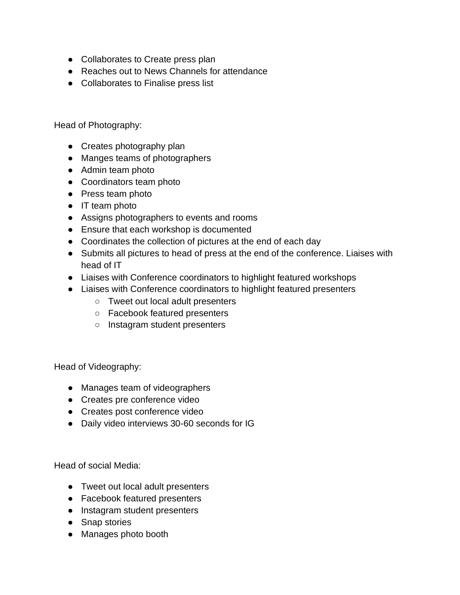- Collaborates to Create press plan
- Reaches out to News Channels for attendance
- Collaborates to Finalise press list

Head of Photography:

- Creates photography plan
- Manges teams of photographers
- Admin team photo
- Coordinators team photo
- Press team photo
- IT team photo
- Assigns photographers to events and rooms
- Ensure that each workshop is documented
- Coordinates the collection of pictures at the end of each day
- Submits all pictures to head of press at the end of the conference. Liaises with head of IT
- Liaises with Conference coordinators to highlight featured workshops
- Liaises with Conference coordinators to highlight featured presenters
	- Tweet out local adult presenters
	- Facebook featured presenters
	- Instagram student presenters

Head of Videography:

- Manages team of videographers
- Creates pre conference video
- Creates post conference video
- Daily video interviews 30-60 seconds for IG

Head of social Media:

- Tweet out local adult presenters
- Facebook featured presenters
- Instagram student presenters
- Snap stories
- Manages photo booth